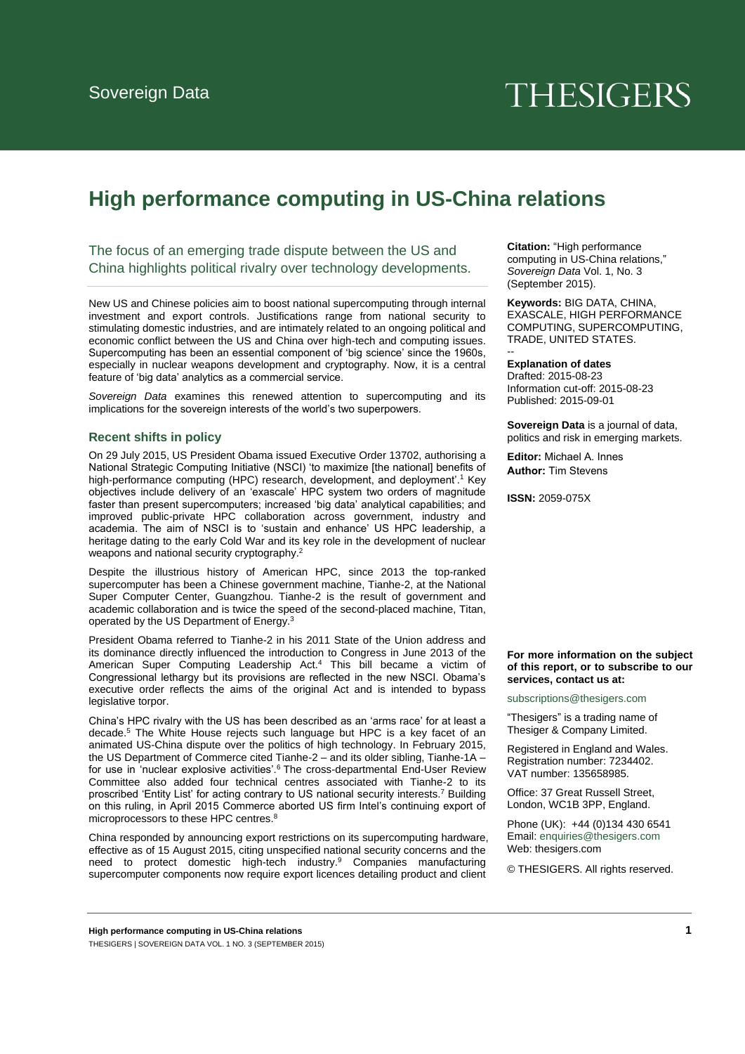# **THESIGERS**

# **High performance computing in US-China relations**

The focus of an emerging trade dispute between the US and China highlights political rivalry over technology developments.

New US and Chinese policies aim to boost national supercomputing through internal investment and export controls. Justifications range from national security to stimulating domestic industries, and are intimately related to an ongoing political and economic conflict between the US and China over high-tech and computing issues. Supercomputing has been an essential component of 'big science' since the 1960s, especially in nuclear weapons development and cryptography. Now, it is a central feature of 'big data' analytics as a commercial service.

*Sovereign Data* examines this renewed attention to supercomputing and its implications for the sovereign interests of the world's two superpowers.

#### **Recent shifts in policy**

On 29 July 2015, US President Obama issued Executive Order 13702, authorising a National Strategic Computing Initiative (NSCI) 'to maximize [the national] benefits of high-performance computing (HPC) research, development, and deployment'.<sup>1</sup> Key objectives include delivery of an 'exascale' HPC system two orders of magnitude faster than present supercomputers; increased 'big data' analytical capabilities; and improved public-private HPC collaboration across government, industry and academia. The aim of NSCI is to 'sustain and enhance' US HPC leadership, a heritage dating to the early Cold War and its key role in the development of nuclear weapons and national security cryptography.<sup>2</sup>

Despite the illustrious history of American HPC, since 2013 the top-ranked supercomputer has been a Chinese government machine, Tianhe-2, at the National Super Computer Center, Guangzhou. Tianhe-2 is the result of government and academic collaboration and is twice the speed of the second-placed machine, Titan, operated by the US Department of Energy.<sup>3</sup>

President Obama referred to Tianhe-2 in his 2011 State of the Union address and its dominance directly influenced the introduction to Congress in June 2013 of the American Super Computing Leadership Act.<sup>4</sup> This bill became a victim of Congressional lethargy but its provisions are reflected in the new NSCI. Obama's executive order reflects the aims of the original Act and is intended to bypass legislative torpor.

China's HPC rivalry with the US has been described as an 'arms race' for at least a decade.<sup>5</sup> The White House rejects such language but HPC is a key facet of an animated US-China dispute over the politics of high technology. In February 2015, the US Department of Commerce cited Tianhe-2 – and its older sibling, Tianhe-1A – for use in 'nuclear explosive activities'.<sup>6</sup> The cross-departmental End-User Review Committee also added four technical centres associated with Tianhe-2 to its proscribed 'Entity List' for acting contrary to US national security interests.<sup>7</sup> Building on this ruling, in April 2015 Commerce aborted US firm Intel's continuing export of microprocessors to these HPC centres.<sup>8</sup>

China responded by announcing export restrictions on its supercomputing hardware, effective as of 15 August 2015, citing unspecified national security concerns and the need to protect domestic high-tech industry.<sup>9</sup> Companies manufacturing supercomputer components now require export licences detailing product and client

**Citation:** "High performance computing in US-China relations," *Sovereign Data* Vol. 1, No. 3 (September 2015).

**Keywords:** BIG DATA, CHINA, EXASCALE, HIGH PERFORMANCE COMPUTING, SUPERCOMPUTING, TRADE, UNITED STATES.

#### **Explanation of dates**

--

Drafted: 2015-08-23 Information cut-off: 2015-08-23 Published: 2015-09-01

**Sovereign Data** is a journal of data. politics and risk in emerging markets.

**Editor:** Michael A. Innes **Author:** Tim Stevens

**ISSN:** 2059-075X

**For more information on the subject of this report, or to subscribe to our services, contact us at:** 

[subscriptions@thesigers.com](mailto:subscriptions@thesigers.com)

"Thesigers" is a trading name of Thesiger & Company Limited.

Registered in England and Wales. Registration number: 7234402. VAT number: 135658985.

Office: 37 Great Russell Street, London, WC1B 3PP, England.

Phone (UK): +44 (0)134 430 6541 Email[: enquiries@thesigers.com](mailto:enquiries@thesigers.com) Web: thesigers.com

© THESIGERS. All rights reserved.

**High performance computing in US-China relations 1** THESIGERS | SOVEREIGN DATA VOL. 1 NO. 3 (SEPTEMBER 2015)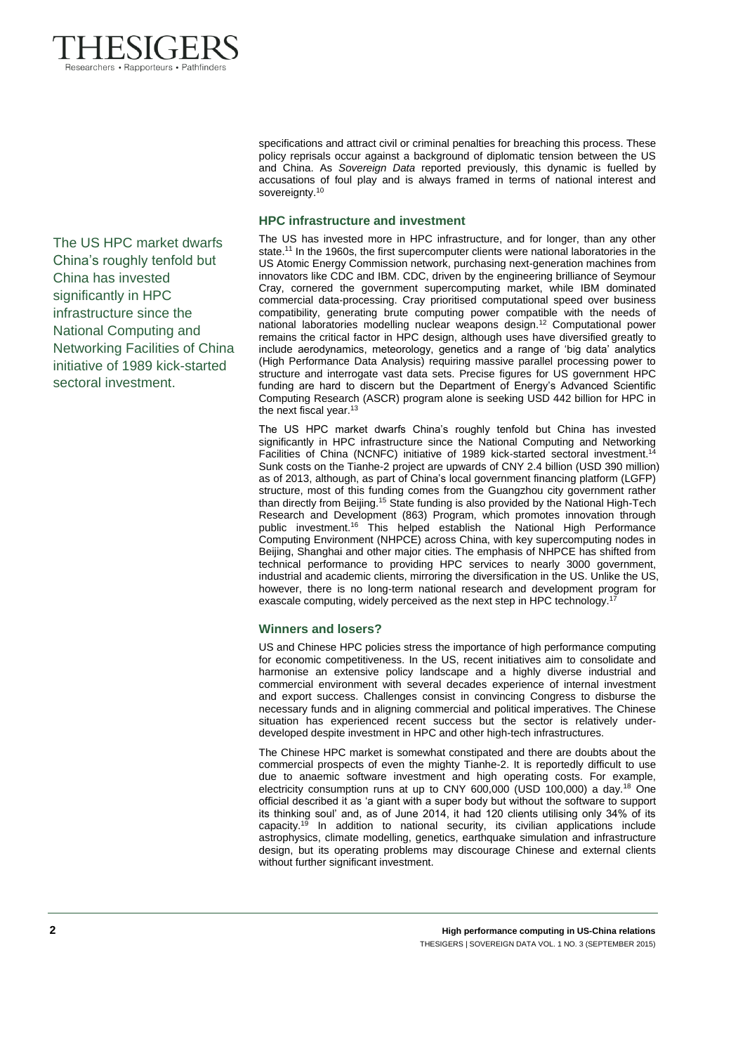

accusations of foul play and is always framed in terms of national interest and sovereignty.<sup>10</sup> **HPC infrastructure and investment**  The US has invested more in HPC infrastructure, and for longer, than any other

state.<sup>11</sup> In the 1960s, the first supercomputer clients were national laboratories in the US Atomic Energy Commission network, purchasing next-generation machines from innovators like CDC and IBM. CDC, driven by the engineering brilliance of Seymour Cray, cornered the government supercomputing market, while IBM dominated commercial data-processing. Cray prioritised computational speed over business compatibility, generating brute computing power compatible with the needs of national laboratories modelling nuclear weapons design.<sup>12</sup> Computational power remains the critical factor in HPC design, although uses have diversified greatly to include aerodynamics, meteorology, genetics and a range of 'big data' analytics (High Performance Data Analysis) requiring massive parallel processing power to structure and interrogate vast data sets. Precise figures for US government HPC funding are hard to discern but the Department of Energy's Advanced Scientific Computing Research (ASCR) program alone is seeking USD 442 billion for HPC in the next fiscal year.<sup>13</sup>

specifications and attract civil or criminal penalties for breaching this process. These policy reprisals occur against a background of diplomatic tension between the US and China. As *Sovereign Data* reported previously, this dynamic is fuelled by

The US HPC market dwarfs China's roughly tenfold but China has invested significantly in HPC infrastructure since the National Computing and Networking Facilities of China (NCNFC) initiative of 1989 kick-started sectoral investment.<sup>14</sup> Sunk costs on the Tianhe-2 project are upwards of CNY 2.4 billion (USD 390 million) as of 2013, although, as part of China's local government financing platform (LGFP) structure, most of this funding comes from the Guangzhou city government rather than directly from Beijing.<sup>15</sup> State funding is also provided by the National High-Tech Research and Development (863) Program, which promotes innovation through public investment.<sup>16</sup> This helped establish the National High Performance Computing Environment (NHPCE) across China, with key supercomputing nodes in Beijing, Shanghai and other major cities. The emphasis of NHPCE has shifted from technical performance to providing HPC services to nearly 3000 government, industrial and academic clients, mirroring the diversification in the US. Unlike the US, however, there is no long-term national research and development program for exascale computing, widely perceived as the next step in HPC technology.<sup>1</sup>

## **Winners and losers?**

US and Chinese HPC policies stress the importance of high performance computing for economic competitiveness. In the US, recent initiatives aim to consolidate and harmonise an extensive policy landscape and a highly diverse industrial and commercial environment with several decades experience of internal investment and export success. Challenges consist in convincing Congress to disburse the necessary funds and in aligning commercial and political imperatives. The Chinese situation has experienced recent success but the sector is relatively underdeveloped despite investment in HPC and other high-tech infrastructures.

The Chinese HPC market is somewhat constipated and there are doubts about the commercial prospects of even the mighty Tianhe-2. It is reportedly difficult to use due to anaemic software investment and high operating costs. For example, electricity consumption runs at up to CNY 600,000 (USD 100,000) a day.<sup>18</sup> One official described it as 'a giant with a super body but without the software to support its thinking soul' and, as of June 2014, it had 120 clients utilising only 34% of its capacity.<sup>19</sup> In addition to national security, its civilian applications include astrophysics, climate modelling, genetics, earthquake simulation and infrastructure design, but its operating problems may discourage Chinese and external clients without further significant investment.

The US HPC market dwarfs China's roughly tenfold but China has invested significantly in HPC infrastructure since the National Computing and Networking Facilities of China initiative of 1989 kick-started sectoral investment.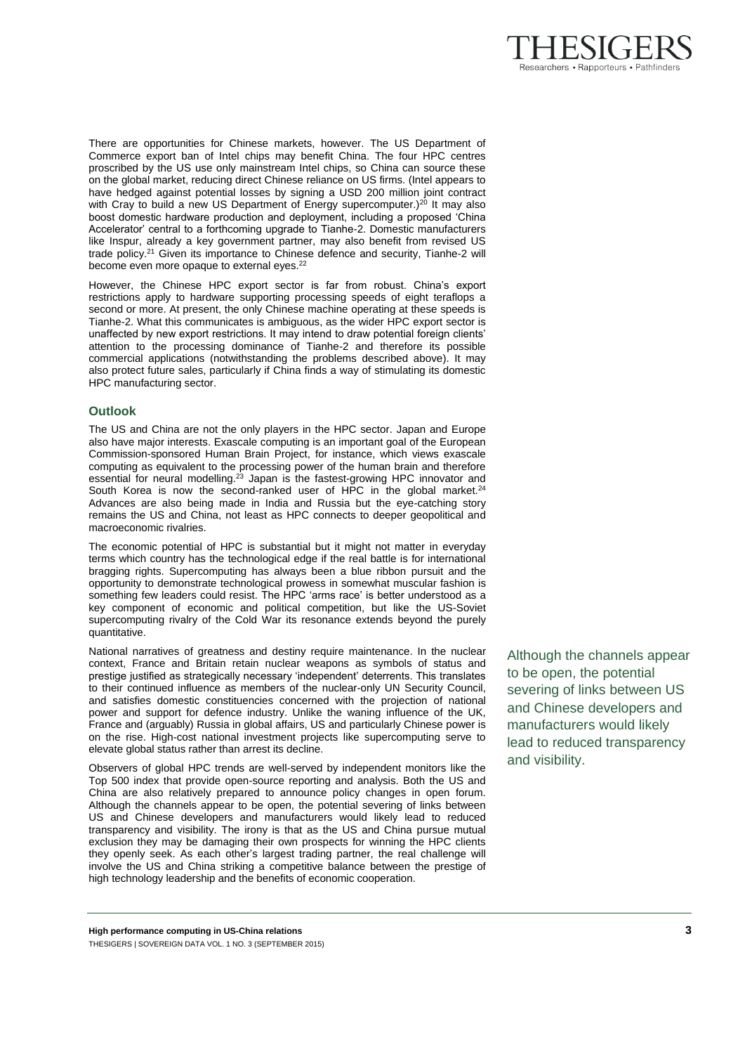

There are opportunities for Chinese markets, however. The US Department of Commerce export ban of Intel chips may benefit China. The four HPC centres proscribed by the US use only mainstream Intel chips, so China can source these on the global market, reducing direct Chinese reliance on US firms. (Intel appears to have hedged against potential losses by signing a USD 200 million joint contract with Cray to build a new US Department of Energy supercomputer.)<sup>20</sup> It may also boost domestic hardware production and deployment, including a proposed 'China Accelerator' central to a forthcoming upgrade to Tianhe-2. Domestic manufacturers like Inspur, already a key government partner, may also benefit from revised US trade policy.<sup>21</sup> Given its importance to Chinese defence and security, Tianhe-2 will become even more opaque to external eyes.<sup>22</sup>

However, the Chinese HPC export sector is far from robust. China's export restrictions apply to hardware supporting processing speeds of eight teraflops a second or more. At present, the only Chinese machine operating at these speeds is Tianhe-2. What this communicates is ambiguous, as the wider HPC export sector is unaffected by new export restrictions. It may intend to draw potential foreign clients' attention to the processing dominance of Tianhe-2 and therefore its possible commercial applications (notwithstanding the problems described above). It may also protect future sales, particularly if China finds a way of stimulating its domestic HPC manufacturing sector.

#### **Outlook**

The US and China are not the only players in the HPC sector. Japan and Europe also have major interests. Exascale computing is an important goal of the European Commission-sponsored Human Brain Project, for instance, which views exascale computing as equivalent to the processing power of the human brain and therefore essential for neural modelling.<sup>23</sup> Japan is the fastest-growing HPC innovator and South Korea is now the second-ranked user of HPC in the global market.<sup>24</sup> Advances are also being made in India and Russia but the eye-catching story remains the US and China, not least as HPC connects to deeper geopolitical and macroeconomic rivalries.

The economic potential of HPC is substantial but it might not matter in everyday terms which country has the technological edge if the real battle is for international bragging rights. Supercomputing has always been a blue ribbon pursuit and the opportunity to demonstrate technological prowess in somewhat muscular fashion is something few leaders could resist. The HPC 'arms race' is better understood as a key component of economic and political competition, but like the US-Soviet supercomputing rivalry of the Cold War its resonance extends beyond the purely quantitative.

National narratives of greatness and destiny require maintenance. In the nuclear context, France and Britain retain nuclear weapons as symbols of status and prestige justified as strategically necessary 'independent' deterrents. This translates to their continued influence as members of the nuclear-only UN Security Council, and satisfies domestic constituencies concerned with the projection of national power and support for defence industry. Unlike the waning influence of the UK, France and (arguably) Russia in global affairs, US and particularly Chinese power is on the rise. High-cost national investment projects like supercomputing serve to elevate global status rather than arrest its decline.

Observers of global HPC trends are well-served by independent monitors like the Top 500 index that provide open-source reporting and analysis. Both the US and China are also relatively prepared to announce policy changes in open forum. Although the channels appear to be open, the potential severing of links between US and Chinese developers and manufacturers would likely lead to reduced transparency and visibility. The irony is that as the US and China pursue mutual exclusion they may be damaging their own prospects for winning the HPC clients they openly seek. As each other's largest trading partner, the real challenge will involve the US and China striking a competitive balance between the prestige of high technology leadership and the benefits of economic cooperation.

Although the channels appear to be open, the potential severing of links between US and Chinese developers and manufacturers would likely lead to reduced transparency and visibility.